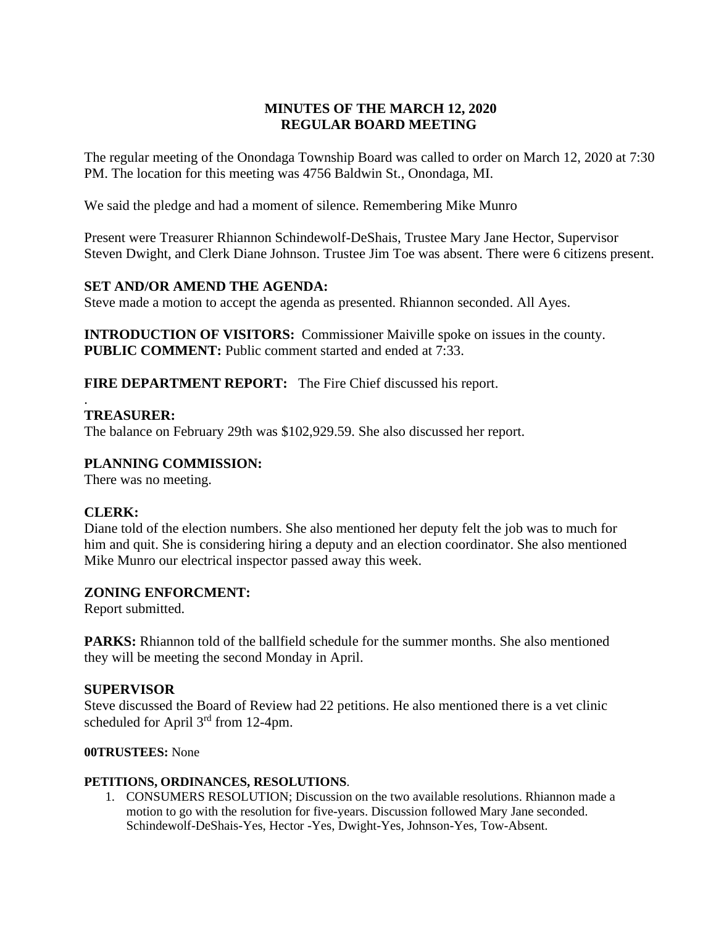# **MINUTES OF THE MARCH 12, 2020 REGULAR BOARD MEETING**

The regular meeting of the Onondaga Township Board was called to order on March 12, 2020 at 7:30 PM. The location for this meeting was 4756 Baldwin St., Onondaga, MI.

We said the pledge and had a moment of silence. Remembering Mike Munro

Present were Treasurer Rhiannon Schindewolf-DeShais, Trustee Mary Jane Hector, Supervisor Steven Dwight, and Clerk Diane Johnson. Trustee Jim Toe was absent. There were 6 citizens present.

# **SET AND/OR AMEND THE AGENDA:**

Steve made a motion to accept the agenda as presented. Rhiannon seconded. All Ayes.

**INTRODUCTION OF VISITORS:** Commissioner Maiville spoke on issues in the county. **PUBLIC COMMENT:** Public comment started and ended at 7:33.

**FIRE DEPARTMENT REPORT:** The Fire Chief discussed his report.

#### . **TREASURER:**

The balance on February 29th was \$102,929.59. She also discussed her report.

# **PLANNING COMMISSION:**

There was no meeting.

### **CLERK:**

Diane told of the election numbers. She also mentioned her deputy felt the job was to much for him and quit. She is considering hiring a deputy and an election coordinator. She also mentioned Mike Munro our electrical inspector passed away this week.

### **ZONING ENFORCMENT:**

Report submitted.

**PARKS:** Rhiannon told of the ballfield schedule for the summer months. She also mentioned they will be meeting the second Monday in April.

### **SUPERVISOR**

Steve discussed the Board of Review had 22 petitions. He also mentioned there is a vet clinic scheduled for April  $3<sup>rd</sup>$  from 12-4pm.

# **00TRUSTEES:** None

### **PETITIONS, ORDINANCES, RESOLUTIONS**.

1. CONSUMERS RESOLUTION; Discussion on the two available resolutions. Rhiannon made a motion to go with the resolution for five-years. Discussion followed Mary Jane seconded. Schindewolf-DeShais-Yes, Hector -Yes, Dwight-Yes, Johnson-Yes, Tow-Absent.